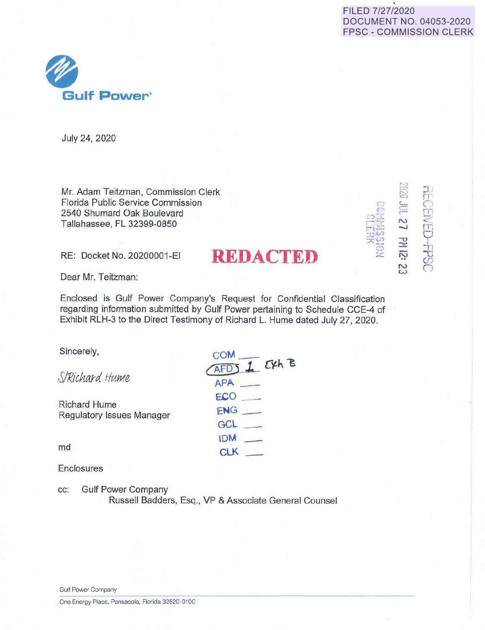## FILED 7/27/2020 DOCUMENT NO. 04053-2020 FPSC - COMMISSION CLERK



July 24, 2020

Mr. Adam Teitzman, Commission Clerk Florida Public Service Commission 2540 Shumard Oak Boulevard Tallahassee, FL 32399-0850

RE: Docket No. 20200001-EI **REDACTED** 

 $\Xi$  .  $E \quad \Omega$  $\epsilon$  in **N**   $\Xi_{\rm{m}}$ <sup>0</sup>.:, l **:it**   $\cdot$   $\circ$ **N** 

 $\sim$ 

 $\mathbb{S}^2$ 

 $\circ$ 

 $2\frac{5}{7}$  $\exists c$  $~7.6$  $\circ$ ::.c:.

Dear Mr. Teitzman:

Enclosed is Gulf Power Company's Request for Confidential Classification regarding information submitted by Gulf Power pertaining to Schedule CCE-4 of Exhibit RLH-3 to the Direct Testimony of Richard L. Hume dated July 27, 2020.

**COM\_** 

**APP..** - **ECO \_ ENG\_ GCL\_** 

 $IDM$ **CLK**  $-$ 

 $AFDJ$  *<i>J.*  $CKh$  **B** 

Sincerely,

S/Richard Hume

Richard Hume Regulatory Issues Manager

md

Enclosures

cc: Gulf Power Company

Russell Badders, Esq., VP & Associate General Counsel

Gulf Power Company

One Energy Place, Pensacola, Florida 32520-0100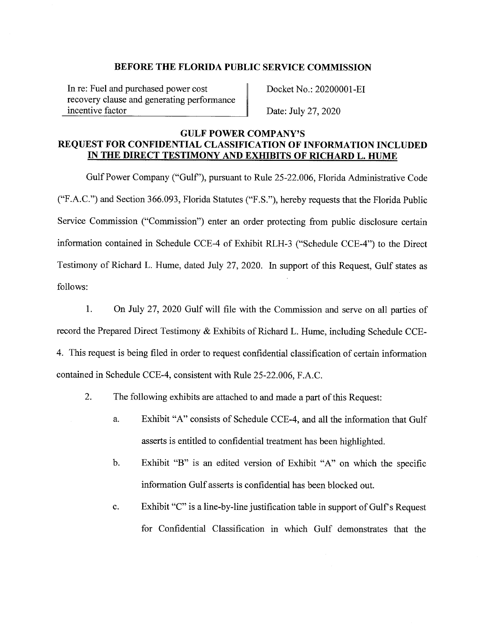In re: Fuel and purchased power cost recovery clause and generating performance incentive factor

Docket No.: 20200001-EI

Date: July 27, 2020

### **GULF POWER COMPANY'S REQUEST FOR CONFIDENTIAL CLASSIFICATION OF INFORMATION INCLUDED IN THE DIRECT TESTIMONY AND EXHIBITS OF RICHARD L. HUME**

Gulf Power Company ("Gulf'), pursuant to Rule 25-22.006, Florida Administrative Code ("F.A.C.") and Section 366.093, Florida Statutes ("F.S."), hereby requests that the Florida Public Service Commission ("Commission") enter an order protecting from public disclosure certain information contained in Schedule CCE-4 of Exhibit RLH-3 ("Schedule CCE-4") to the Direct Testimony of Richard L. Hume, dated July 27, 2020. In support of this Request, Gulf states as follows:

**1.** On July 27, 2020 Gulf will file with the Commission and serve on all parties of record the Prepared Direct Testimony & Exhibits of Richard L. Hume, including Schedule CCE-4. This request is being filed in order to request confidential classification of certain information contained in Schedule CCE-4, consistent with Rule 25-22.006, F.A.C.

- 2. The following exhibits are attached to and made a part of this Request:
	- a. Exhibit "A" consists of Schedule CCE-4, and all the information that Gulf asserts is entitled to confidential treatment has been highlighted.
	- b. Exhibit "B" is an edited version of Exhibit "A" on which the specific information Gulf asserts is confidential has been blocked out.
	- c. Exhibit "C" is a line-by-line justification table in support of Gulf's Request for Confidential Classification in which Gulf demonstrates that the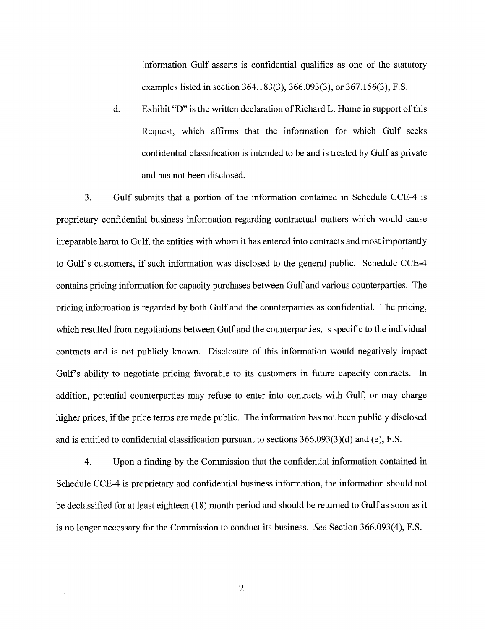information Gulf asserts is confidential qualifies as one of the statutory examples listed in section 364.183(3), 366.093(3), or 367.156(3), F.S.

d. Exhibit "D" is the written declaration of Richard L. Hume in support of this Request, which affirms that the information for which Gulf seeks confidential classification is intended to be and is treated by Gulf as private and has not been disclosed.

3. Gulf submits that a portion of the information contained in Schedule CCE-4 is proprietary confidential business information regarding contractual matters which would cause irreparable harm to Gulf, the entities with whom it has entered into contracts and most importantly to Gulfs customers, if such information was disclosed to the general public. Schedule CCE-4 contains pricing information for capacity purchases between Gulf and various counterparties. The pricing information is regarded by both Gulf and the counterparties as confidential. The pricing, which resulted from negotiations between Gulf and the counterparties, is specific to the individual contracts and is not publicly known. Disclosure of this information would negatively impact Gulf's ability to negotiate pricing favorable to its customers in future capacity contracts. In addition, potential counterparties may refuse to enter into contracts with Gulf, or may charge higher prices, if the price terms are made public. The information has not been publicly disclosed and is entitled to confidential classification pursuant to sections 366.093(3)(d) and (e), F.S.

4. Upon a finding by the Commission that the confidential information contained in Schedule CCE-4 is proprietary and confidential business information, the information should not be declassified for at least eighteen (18) month period and should be returned to Gulf as soon as it is no longer necessary for the Commission to conduct its business. *See* Section 366.093(4), F.S.

2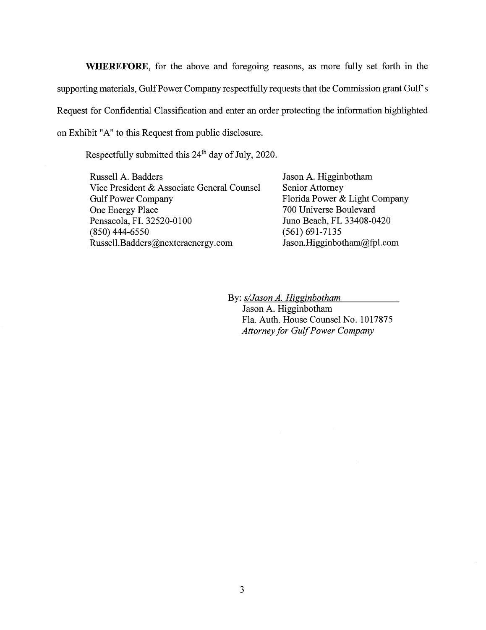**WHEREFORE,** for the above and foregoing reasons, as more fully set forth in the supporting materials, Gulf Power Company respectfully requests that the Commission grant Gulf's Request for Confidential Classification and enter an order protecting the information highlighted on Exhibit "A" to this Request from public disclosure.

Respectfully submitted this 24<sup>th</sup> day of July, 2020.

Russell A. Badders Vice President & Associate General Counsel Gulf Power Company One Energy Place Pensacola, FL 32520-0100 (850) 444-6550 Russell.Badders@nexteraenergy.com

Jason A. Higginbotham Senior Attorney Florida Power & Light Company 700 Universe Boulevard Juno Beach, FL 33408-0420 (561) 691-7135 Jason.Higginbotham@fpl.com

By: *s/Jason A. Higginbotham* Jason A. Higginbotham

Fla. Auth. House Counsel No. 1017875 *Attorney for Gulf Power Company*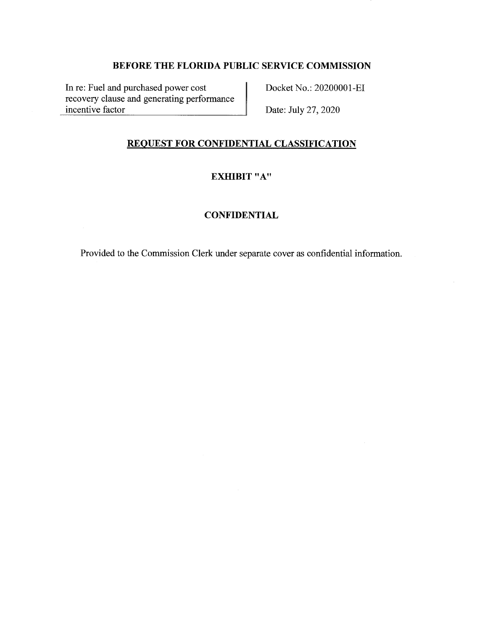In re: Fuel and purchased power cost recovery clause and generating performance incentive factor

Docket No.: 20200001-EI

Date: July 27, 2020

## **REQUEST FOR CONFIDENTIAL CLASSIFICATION**

## **EXHIBIT "A"**

# **CONFIDENTIAL**

Provided to the Commission Clerk under separate cover as confidential information.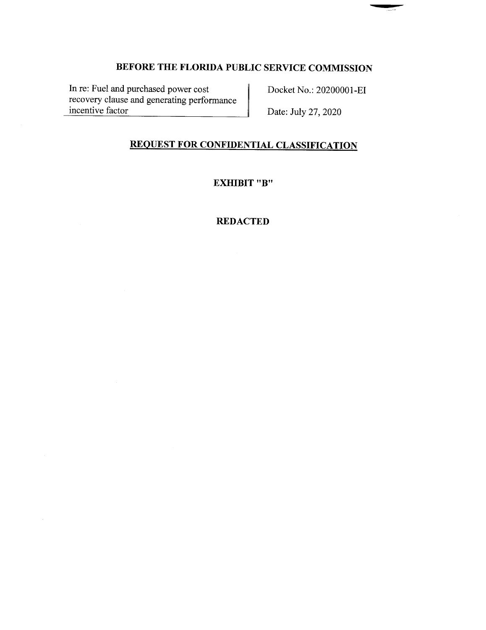In re: Fuel and purchased power cost recovery clause and generating performance incentive factor

Docket No.: 20200001-EI

Date: July 27, 2020

# **REQUEST FOR CONFIDENTIAL CLASSIFICATION**

**EXHIBIT "B"** 

### **REDACTED**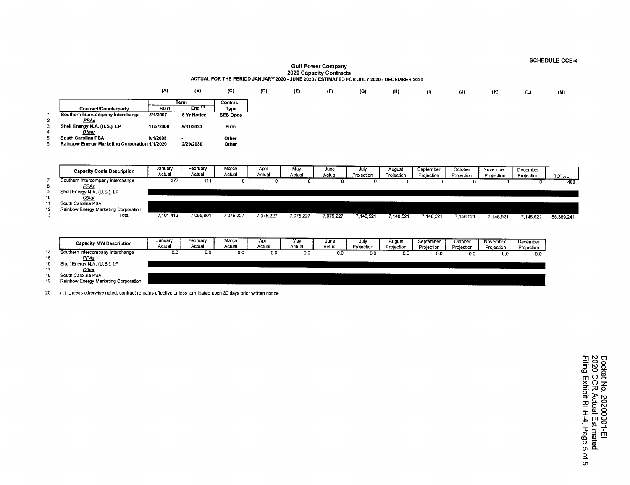**(A) (B) (C) (D) (E) (F) (G) (H) (I)** (J) **(K)** (L) **(M) Term Contract Contract/Counterparty**<br> **Contract/Counterparty**<br> **Contract/Counterparty Interchange 5/1/2007** 5 Yr Notice SES Opco 1 **Southern Intercompany Interchange**<br>2 **PPAs** 2 *PPAs*<br>3 Shell Energy N./ 3 **Shell Energy N.A. (U.S.), LP 11/2/2009 5/31/2023 Firm**  4 **Qtllli.**  5 **South Carolina PSA 9/1/2003 Other**  6 **Rainbow Energy Marketing Corporation 1/1/2020 2/29/2030 Other Capacity Costs Description | January February March April May June July August September October November December<br>Actual Actual Actual Actual Actual Actual Actual Actual Actual Projection Projection Projection Projection** Actual I Actual I Actual I Actual I Actual I Actual Projection Projection Projection Projection Projection Projection Projection Projection Projection Projection Projection Projection Projection Projection Projection Proje 7 Southern lntercompany Interchange 377 <sup>111</sup>0 0 0 0 0 0 0 0 0 0 488 8 **EE&** 9 Shell Energy **N.A.** (U.S.), LP 10 *Other*<br>11 South Carolina Ps **11** South Carolina PSA **<sup>12</sup>**Rainbow Energy Marketing Corporation 13Total 7,101,412 7,095,801 7,075,227 7,075,227 7,075,227 7,075,227 7,148,521 7,148,521 7,148,521 7,148,521 7,148,521 7,148,521 7,148,521 85,389,241 **Capacity MW Description January February March April May June July August September October November December<br>Actual Actual Actual Actual Actual Actual Actual Actual Actual Projection Projection Projection Projection Proj** Actual Actual Actual Actual Actual Actual Projection Projection Projection Projection Projection Projection <sup>14</sup>Southern lntercompany Interchange 0.0 0.0 0.0 0.0 0,0 0.0 0.0 0.0 0.0 0.0 0,0 0.0 15 *EE&* 16 Shell Energy N.A. (U.S.), LP 17 Other<br>18 South Carolina P 18 South Carolina PSA<br>19 Rainbow Energy Ma Rainbow Energy Marketing Corporation

**Gulf Power Company 2020 Capacity Contracts ACTUAL FOR THE PERIOD JANUARY 2020 - JUNE 2020 / ESTIMATED FOR JULY 2020. DECEMBER 2020** 

20 (1) Unless otherwise noted, contract remains effective unless terminated upon 30 days prior written notice.

**SCHEDULE CCE-4**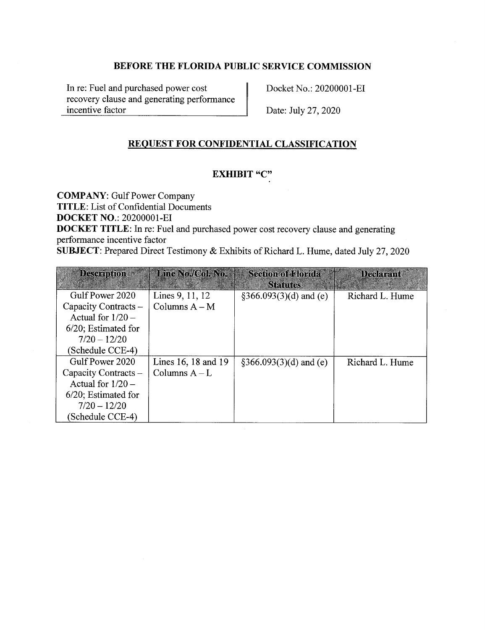In re: Fuel and purchased power cost recovery clause and generating performance incentive factor

Docket No.: 20200001-EI

Date: July 27, 2020

# **REQUEST FOR CONFIDENTIAL CLASSIFICATION**

## **EXHIBIT "C"**

**COMPANY:** Gulf Power Company **TITLE:** List of Confidential Documents **DOCKET NO.:** 20200001-EI

**DOCKET TITLE:** In re: Fuel and purchased power cost recovery clause and generating performance incentive factor

**SUBJECT:** Prepared Direct Testimony & Exhibits of Richard L. Hume, dated July 27, 2020

| <b>Description</b>     | Line No./Col. No.   | <b>Section of Florida</b><br><b>Statutes</b> | Declarant       |
|------------------------|---------------------|----------------------------------------------|-----------------|
| Gulf Power 2020        | Lines 9, 11, 12     | $\S366.093(3)(d)$ and (e)                    | Richard L. Hume |
| Capacity Contracts -   | Columns $A - M$     |                                              |                 |
| Actual for $1/20$ –    |                     |                                              |                 |
| $6/20$ ; Estimated for |                     |                                              |                 |
| $7/20 - 12/20$         |                     |                                              |                 |
| (Schedule CCE-4)       |                     |                                              |                 |
| Gulf Power 2020        | Lines 16, 18 and 19 | $\S366.093(3)(d)$ and (e)                    | Richard L. Hume |
| Capacity Contracts -   | Columns $A-L$       |                                              |                 |
| Actual for $1/20$ –    |                     |                                              |                 |
| $6/20$ ; Estimated for |                     |                                              |                 |
| $7/20 - 12/20$         |                     |                                              |                 |
| (Schedule CCE-4)       |                     |                                              |                 |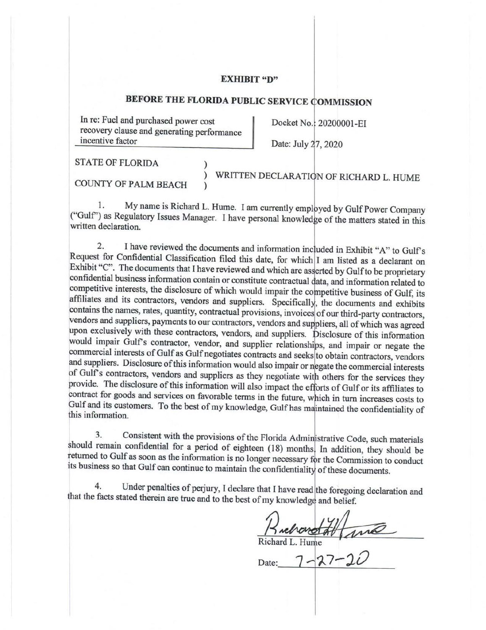#### **EXHIBIT "D"**

# **BEFORE THE FLORIDA PUBLIC SERVICE OMMISSION**

In re: Fuel and purchased power cost recovery clause and generating performance incentive factor

Docket No.: 20200001-EI

Date: July 27, 2020

STATE OF FLORIDA

COUNTY OF PALM BEACH

) WRITTEN DECLARATION OF RICHARD L. HUME

1. My name is Richard L. Hume. I am currently employed by Gulf Power Company ("Gulf") as Regulatory Issues Manager. I have personal knowledge of the matters stated in this written declaration.

)

)

2. I have reviewed the documents and information included in Exhibit "A" to Gulf's Request for Confidential Classification filed this date, for which I am listed as a declarant on Exhibit "C". The documents that I have reviewed and which are asserted by Gulf to be proprietary confidential business information contain or constitute contractual data, and information related to competitive interests, the disclosure of which would impair the competitive business of Gulf, its affiliates and its contractors, vendors and suppliers. Specifically, the documents and exhibits contains the names, rates, quantity, contractual provisions, invoices of our third-party contractors, vendors and suppliers, payments to our contractors, vendors and suppliers, all of which was agreed upon exclusively with these contractors, vendors, and suppliers. Disclosure of this information would impair Gulf's contractor, vendor, and supplier relationships, and impair or negate the commercial interests of Gulf as Gulf negotiates contracts and seeks to obtain contractors, vendors and suppliers. Disclosure of this information would also impair or negate the commercial interests of Gulf's contractors, vendors and suppliers as they negotiate with others for the services they provide. The disclosure of this information will also impact the efforts of Gulf or its affiliates to contract for goods and services on favorable terms in the future, which in turn increases costs to Gulf and its customers. To the best of my knowledge, Gulf has maintained the confidentiality of this information.

3. Consistent with the provisions of the Florida Administrative Code, such materials should remain confidential for a period of eighteen (18) months. In addition, they should be returned to Gulf as soon as the information is no longer necessary for the Commission to conduct its business so that Gulf can continue to maintain the confidentiality of these documents.

4. Under penalties of perjury, I declare that I have read the foregoing declaration and that the facts stated therein are true and to the best of my knowledge and belief.

Ruchard L. Hume<br>Richard L. Hume<br>Date: 7-27-20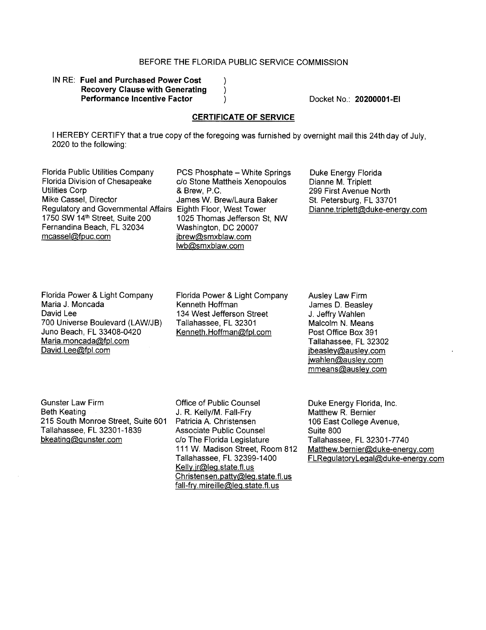$\mathcal{E}$  $\mathcal{Y}$ )

#### IN RE: **Fuel and Purchased Power Cost Recovery Clause with Generating Performance Incentive Factor**

Docket No.: **20200001-EI** 

#### **CERTIFICATE OF SERVICE**

I HEREBY CERTIFY that a true copy of the foregoing was furnished by overnight mail this 24th day of July, 2020 to the following:

Florida Public Utilities Company PCS Phosphate - White Springs<br>Florida Division of Chesapeake c/o Stone Mattheis Xenopoulos Florida Division of Chesapeake c/o Stone Mattheis Xenopoulos<br>Utilities Corp de Rew, P.C. Utilities Corp 6 1999 8 Brew, P.C.<br>
Mike Cassel, Director 6 1999 James W. Br Regulatory and Governmental Affairs Eighth Floor, West Tower<br>1750 SW 14<sup>th</sup> Street, Suite 200 1025 Thomas Jefferson S 1750 SW 14<sup>th</sup> Street, Suite 200 1025 Thomas Jefferson St, NW<br>Fernandina Beach, FL 32034 Washington, DC 20007 Fernandina Beach, FL 32034 Washington, DC 20007<br>mcassel@fpuc.com ibrew@smxblaw.com

James W. Brew/Laura Baker jbrew@smxblaw.com lwb@smxblaw.com

Duke Energy Florida Dianne M. Triplett 299 First Avenue North St. Petersburg, FL 33701 Dianne.triplett@duke-energy.com

Florida Power & Light Company Maria J. Moncada David Lee 700 Universe Boulevard (LAW/JB) Juno Beach, FL 33408-0420 Maria. moncada@fpl.com David.Lee@fpl.com

Florida Power & Light Company Kenneth Hoffman 134 West Jefferson Street Tallahassee, FL 32301 Kenneth.Hoffman@fpl.com

Ausley Law Firm James D. Beasley J. Jeffry Wahlen Malcolm N. Means Post Office Box 391 Tallahassee, FL 32302 jbeasley@ausley.com jwahlen@ausley.com mmeans@ausley.com

Gunster Law Firm Beth Keating 215 South Monroe Street, Suite 601 Tallahassee, FL 32301-1839 bkeating@gunster.com

Office of Public Counsel J. R. Kelly/M. Fall-Fry Patricia A. Christensen Associate Public Counsel c/o The Florida Legislature 111 W. Madison Street, Room 812 Tallahassee, FL 32399-1400 Kelly. jr@leg.state. fl. us Christensen.patty@leg.state.fl.us fall-fry.mireille@leg.state.fl.us

Duke Energy Florida, Inc. Matthew R. Bernier 106 East College Avenue, Suite 800 Tallahassee, FL 32301-7740 Matthew.bernier@duke-energy.com FLRegulatoryLegal@duke-energy.com